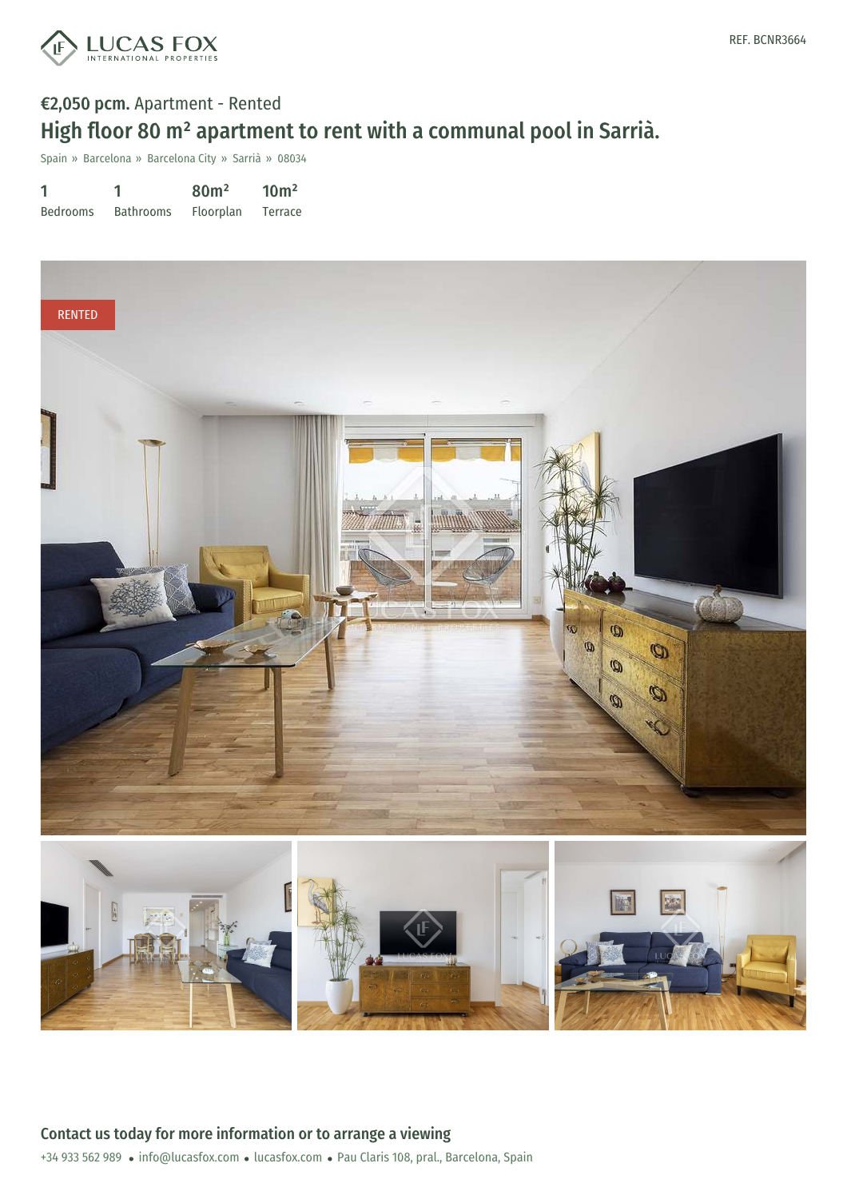

## €2,050 pcm. Apartment - Rented High floor 80 m² apartment to rent with a communal pool in Sarrià.

Spain » Barcelona » Barcelona City » Sarrià » 08034

| 1               |                  | 80 <sup>m²</sup> | 10 <sup>m²</sup> |
|-----------------|------------------|------------------|------------------|
| <b>Bedrooms</b> | <b>Bathrooms</b> | <b>Floorplan</b> | Terrace          |

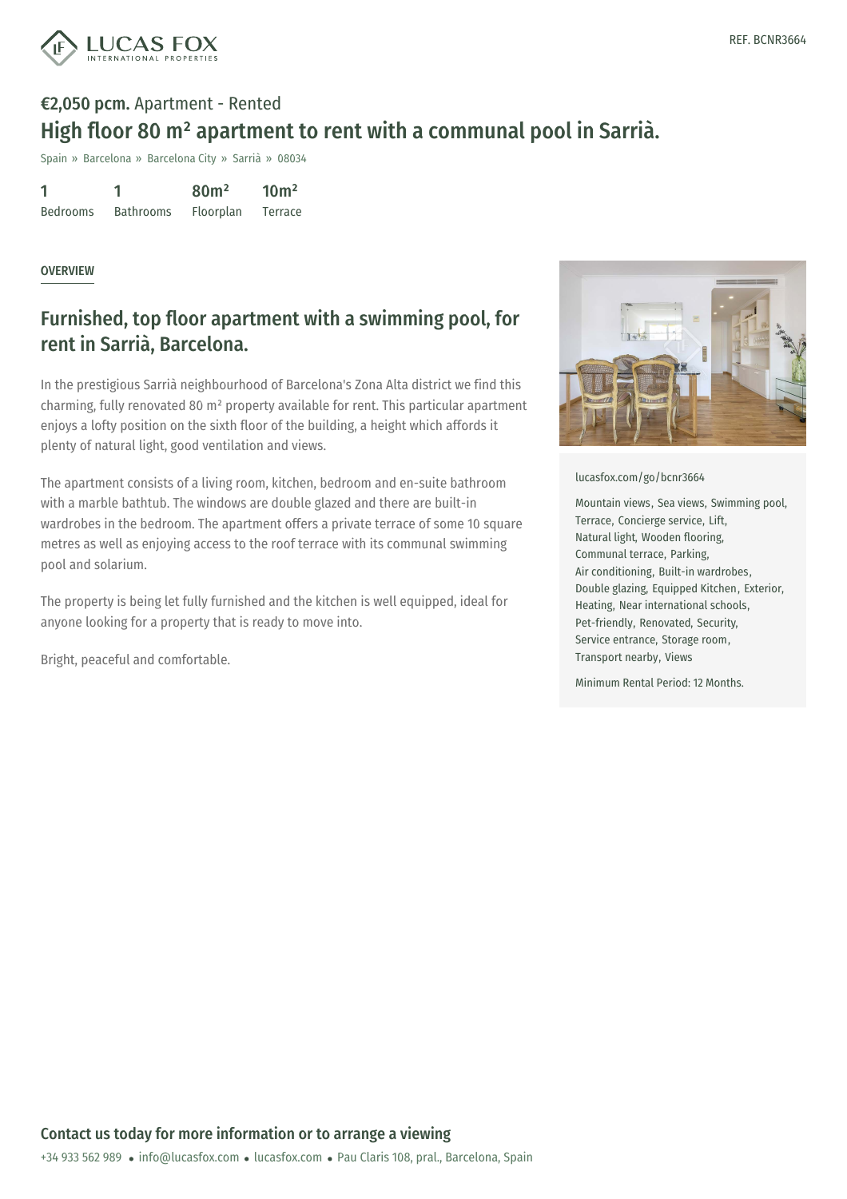

## €2,050 pcm. Apartment - Rented High floor 80 m² apartment to rent with a communal pool in Sarrià.

Spain » Barcelona » Barcelona City » Sarrià » 08034

| 1               |                  | 80 <sup>m²</sup> | 10 <sup>m²</sup> |
|-----------------|------------------|------------------|------------------|
| <b>Bedrooms</b> | <b>Bathrooms</b> | Floorplan        | Terrace          |

## OVERVIEW

## Furnished, top floor apartment with a swimming pool, for rent in Sarrià, Barcelona.

In the prestigious Sarrià neighbourhood of Barcelona's Zona Alta district we find this charming, fully renovated 80 m² property available for rent. This particular apartment enjoys a lofty position on the sixth floor of the building, a height which affords it plenty of natural light, good ventilation and views.

The apartment consists of a living room, kitchen, bedroom and en-suite bathroom with a marble bathtub. The windows are double glazed and there are built-in wardrobes in the bedroom. The apartment offers a private terrace of some 10 square metres as well as enjoying access to the roof terrace with its communal swimming pool and solarium.

The property is being let fully furnished and the kitchen is well equipped, ideal for anyone looking for a property that is ready to move into.

Bright, peaceful and comfortable.



[lucasfox.com/go/bcnr3664](https://www.lucasfox.com/go/bcnr3664)

Mountain views, Sea views, Swimming pool, Terrace, Concierge service, Lift, Natural light, Wooden flooring, Communal terrace, Parking, Air conditioning, Built-in wardrobes, Double glazing, Equipped Kitchen, Exterior, Heating, Near international schools, Pet-friendly, Renovated, Security, Service entrance, Storage room, Transport nearby, Views

Minimum Rental Period: 12 Months.